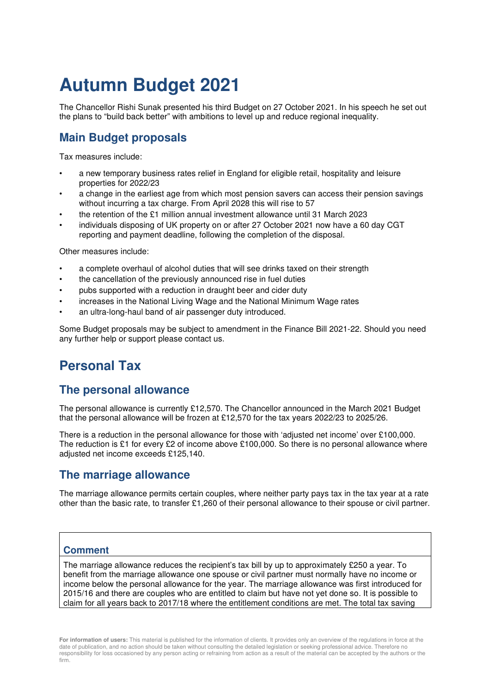# **Autumn Budget 2021**

The Chancellor Rishi Sunak presented his third Budget on 27 October 2021. In his speech he set out the plans to "build back better" with ambitions to level up and reduce regional inequality.

### **Main Budget proposals**

Tax measures include:

- a new temporary business rates relief in England for eligible retail, hospitality and leisure properties for 2022/23
- a change in the earliest age from which most pension savers can access their pension savings without incurring a tax charge. From April 2028 this will rise to 57
- the retention of the £1 million annual investment allowance until 31 March 2023
- individuals disposing of UK property on or after 27 October 2021 now have a 60 day CGT reporting and payment deadline, following the completion of the disposal.

Other measures include:

- a complete overhaul of alcohol duties that will see drinks taxed on their strength
- the cancellation of the previously announced rise in fuel duties
- pubs supported with a reduction in draught beer and cider duty
- increases in the National Living Wage and the National Minimum Wage rates
- an ultra-long-haul band of air passenger duty introduced.

Some Budget proposals may be subject to amendment in the Finance Bill 2021-22. Should you need any further help or support please contact us.

# **Personal Tax**

### **The personal allowance**

The personal allowance is currently £12,570. The Chancellor announced in the March 2021 Budget that the personal allowance will be frozen at £12,570 for the tax years 2022/23 to 2025/26.

There is a reduction in the personal allowance for those with 'adjusted net income' over £100,000. The reduction is £1 for every £2 of income above £100,000. So there is no personal allowance where adjusted net income exceeds £125,140.

### **The marriage allowance**

The marriage allowance permits certain couples, where neither party pays tax in the tax year at a rate other than the basic rate, to transfer £1,260 of their personal allowance to their spouse or civil partner.

#### **Comment**

The marriage allowance reduces the recipient's tax bill by up to approximately £250 a year. To benefit from the marriage allowance one spouse or civil partner must normally have no income or income below the personal allowance for the year. The marriage allowance was first introduced for 2015/16 and there are couples who are entitled to claim but have not yet done so. It is possible to claim for all years back to 2017/18 where the entitlement conditions are met. The total tax saving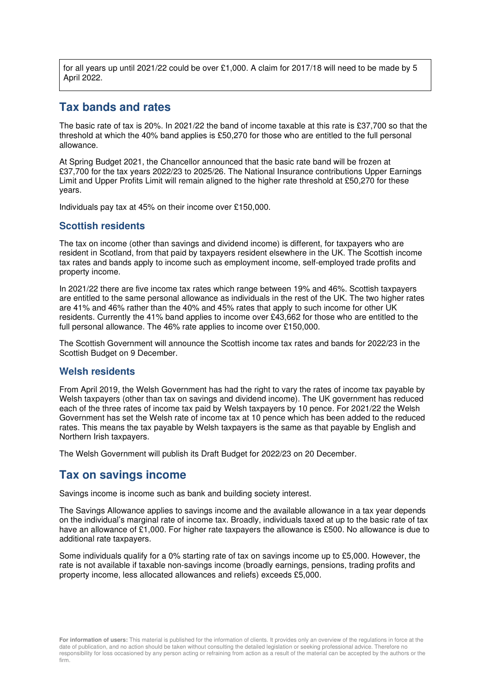for all years up until 2021/22 could be over £1,000. A claim for 2017/18 will need to be made by 5 April 2022.

### **Tax bands and rates**

The basic rate of tax is 20%. In 2021/22 the band of income taxable at this rate is £37,700 so that the threshold at which the 40% band applies is £50,270 for those who are entitled to the full personal allowance.

At Spring Budget 2021, the Chancellor announced that the basic rate band will be frozen at £37,700 for the tax years 2022/23 to 2025/26. The National Insurance contributions Upper Earnings Limit and Upper Profits Limit will remain aligned to the higher rate threshold at £50,270 for these years.

Individuals pay tax at 45% on their income over £150,000.

#### **Scottish residents**

The tax on income (other than savings and dividend income) is different, for taxpayers who are resident in Scotland, from that paid by taxpayers resident elsewhere in the UK. The Scottish income tax rates and bands apply to income such as employment income, self-employed trade profits and property income.

In 2021/22 there are five income tax rates which range between 19% and 46%. Scottish taxpayers are entitled to the same personal allowance as individuals in the rest of the UK. The two higher rates are 41% and 46% rather than the 40% and 45% rates that apply to such income for other UK residents. Currently the 41% band applies to income over £43,662 for those who are entitled to the full personal allowance. The 46% rate applies to income over £150,000.

The Scottish Government will announce the Scottish income tax rates and bands for 2022/23 in the Scottish Budget on 9 December.

#### **Welsh residents**

From April 2019, the Welsh Government has had the right to vary the rates of income tax payable by Welsh taxpayers (other than tax on savings and dividend income). The UK government has reduced each of the three rates of income tax paid by Welsh taxpayers by 10 pence. For 2021/22 the Welsh Government has set the Welsh rate of income tax at 10 pence which has been added to the reduced rates. This means the tax payable by Welsh taxpayers is the same as that payable by English and Northern Irish taxpayers.

The Welsh Government will publish its Draft Budget for 2022/23 on 20 December.

### **Tax on savings income**

Savings income is income such as bank and building society interest.

The Savings Allowance applies to savings income and the available allowance in a tax year depends on the individual's marginal rate of income tax. Broadly, individuals taxed at up to the basic rate of tax have an allowance of £1,000. For higher rate taxpayers the allowance is £500. No allowance is due to additional rate taxpayers.

Some individuals qualify for a 0% starting rate of tax on savings income up to £5,000. However, the rate is not available if taxable non-savings income (broadly earnings, pensions, trading profits and property income, less allocated allowances and reliefs) exceeds £5,000.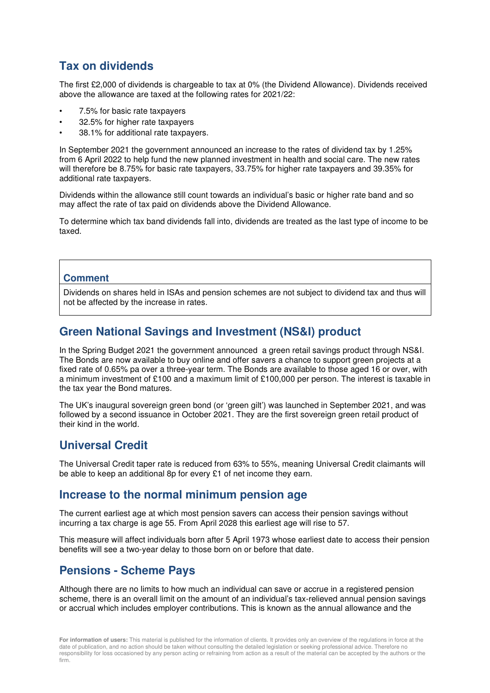### **Tax on dividends**

The first £2,000 of dividends is chargeable to tax at 0% (the Dividend Allowance). Dividends received above the allowance are taxed at the following rates for 2021/22:

- 7.5% for basic rate taxpayers
- 32.5% for higher rate taxpayers
- 38.1% for additional rate taxpayers.

In September 2021 the government announced an increase to the rates of dividend tax by 1.25% from 6 April 2022 to help fund the new planned investment in health and social care. The new rates will therefore be 8.75% for basic rate taxpayers, 33.75% for higher rate taxpayers and 39.35% for additional rate taxpayers.

Dividends within the allowance still count towards an individual's basic or higher rate band and so may affect the rate of tax paid on dividends above the Dividend Allowance.

To determine which tax band dividends fall into, dividends are treated as the last type of income to be taxed.

#### **Comment**

Dividends on shares held in ISAs and pension schemes are not subject to dividend tax and thus will not be affected by the increase in rates.

### **Green National Savings and Investment (NS&I) product**

In the Spring Budget 2021 the government announced a green retail savings product through NS&I. The Bonds are now available to buy online and offer savers a chance to support green projects at a fixed rate of 0.65% pa over a three-year term. The Bonds are available to those aged 16 or over, with a minimum investment of £100 and a maximum limit of £100,000 per person. The interest is taxable in the tax year the Bond matures.

The UK's inaugural sovereign green bond (or 'green gilt') was launched in September 2021, and was followed by a second issuance in October 2021. They are the first sovereign green retail product of their kind in the world.

### **Universal Credit**

The Universal Credit taper rate is reduced from 63% to 55%, meaning Universal Credit claimants will be able to keep an additional 8p for every £1 of net income they earn.

### **Increase to the normal minimum pension age**

The current earliest age at which most pension savers can access their pension savings without incurring a tax charge is age 55. From April 2028 this earliest age will rise to 57.

This measure will affect individuals born after 5 April 1973 whose earliest date to access their pension benefits will see a two-year delay to those born on or before that date.

### **Pensions - Scheme Pays**

Although there are no limits to how much an individual can save or accrue in a registered pension scheme, there is an overall limit on the amount of an individual's tax-relieved annual pension savings or accrual which includes employer contributions. This is known as the annual allowance and the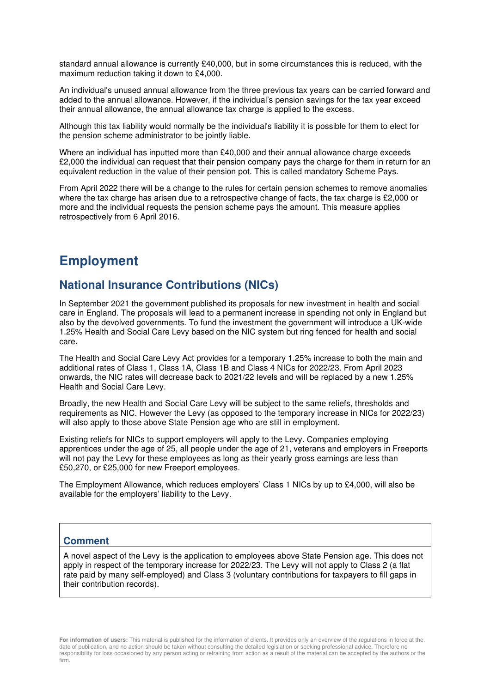standard annual allowance is currently £40,000, but in some circumstances this is reduced, with the maximum reduction taking it down to £4,000.

An individual's unused annual allowance from the three previous tax years can be carried forward and added to the annual allowance. However, if the individual's pension savings for the tax year exceed their annual allowance, the annual allowance tax charge is applied to the excess.

Although this tax liability would normally be the individual's liability it is possible for them to elect for the pension scheme administrator to be jointly liable.

Where an individual has inputted more than £40,000 and their annual allowance charge exceeds £2,000 the individual can request that their pension company pays the charge for them in return for an equivalent reduction in the value of their pension pot. This is called mandatory Scheme Pays.

From April 2022 there will be a change to the rules for certain pension schemes to remove anomalies where the tax charge has arisen due to a retrospective change of facts, the tax charge is £2,000 or more and the individual requests the pension scheme pays the amount. This measure applies retrospectively from 6 April 2016.

# **Employment**

### **National Insurance Contributions (NICs)**

In September 2021 the government published its proposals for new investment in health and social care in England. The proposals will lead to a permanent increase in spending not only in England but also by the devolved governments. To fund the investment the government will introduce a UK-wide 1.25% Health and Social Care Levy based on the NIC system but ring fenced for health and social care.

The Health and Social Care Levy Act provides for a temporary 1.25% increase to both the main and additional rates of Class 1, Class 1A, Class 1B and Class 4 NICs for 2022/23. From April 2023 onwards, the NIC rates will decrease back to 2021/22 levels and will be replaced by a new 1.25% Health and Social Care Levy.

Broadly, the new Health and Social Care Levy will be subject to the same reliefs, thresholds and requirements as NIC. However the Levy (as opposed to the temporary increase in NICs for 2022/23) will also apply to those above State Pension age who are still in employment.

Existing reliefs for NICs to support employers will apply to the Levy. Companies employing apprentices under the age of 25, all people under the age of 21, veterans and employers in Freeports will not pay the Levy for these employees as long as their yearly gross earnings are less than £50,270, or £25,000 for new Freeport employees.

The Employment Allowance, which reduces employers' Class 1 NICs by up to £4,000, will also be available for the employers' liability to the Levy.

#### **Comment**

A novel aspect of the Levy is the application to employees above State Pension age. This does not apply in respect of the temporary increase for 2022/23. The Levy will not apply to Class 2 (a flat rate paid by many self-employed) and Class 3 (voluntary contributions for taxpayers to fill gaps in their contribution records).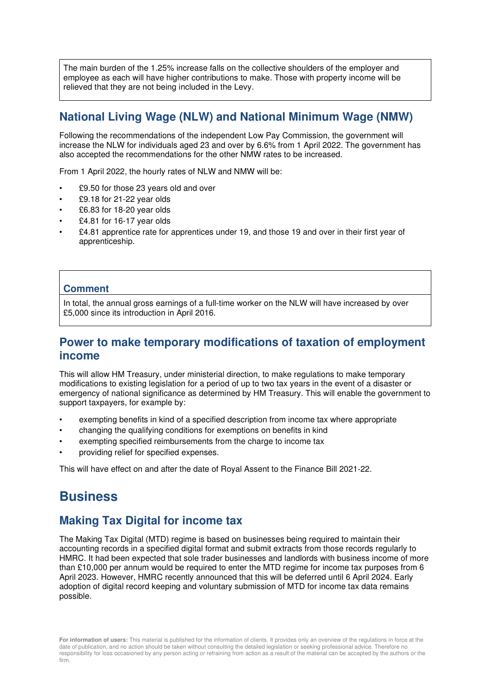The main burden of the 1.25% increase falls on the collective shoulders of the employer and employee as each will have higher contributions to make. Those with property income will be relieved that they are not being included in the Levy.

### **National Living Wage (NLW) and National Minimum Wage (NMW)**

Following the recommendations of the independent Low Pay Commission, the government will increase the NLW for individuals aged 23 and over by 6.6% from 1 April 2022. The government has also accepted the recommendations for the other NMW rates to be increased.

From 1 April 2022, the hourly rates of NLW and NMW will be:

- £9.50 for those 23 years old and over
- £9.18 for 21-22 year olds
- £6.83 for 18-20 year olds
- £4.81 for 16-17 year olds
- £4.81 apprentice rate for apprentices under 19, and those 19 and over in their first year of apprenticeship.

#### **Comment**

In total, the annual gross earnings of a full-time worker on the NLW will have increased by over £5,000 since its introduction in April 2016.

### **Power to make temporary modifications of taxation of employment income**

This will allow HM Treasury, under ministerial direction, to make regulations to make temporary modifications to existing legislation for a period of up to two tax years in the event of a disaster or emergency of national significance as determined by HM Treasury. This will enable the government to support taxpayers, for example by:

- exempting benefits in kind of a specified description from income tax where appropriate
- changing the qualifying conditions for exemptions on benefits in kind
- exempting specified reimbursements from the charge to income tax
- providing relief for specified expenses.

This will have effect on and after the date of Royal Assent to the Finance Bill 2021-22.

## **Business**

### **Making Tax Digital for income tax**

The Making Tax Digital (MTD) regime is based on businesses being required to maintain their accounting records in a specified digital format and submit extracts from those records regularly to HMRC. It had been expected that sole trader businesses and landlords with business income of more than £10,000 per annum would be required to enter the MTD regime for income tax purposes from 6 April 2023. However, HMRC recently announced that this will be deferred until 6 April 2024. Early adoption of digital record keeping and voluntary submission of MTD for income tax data remains possible.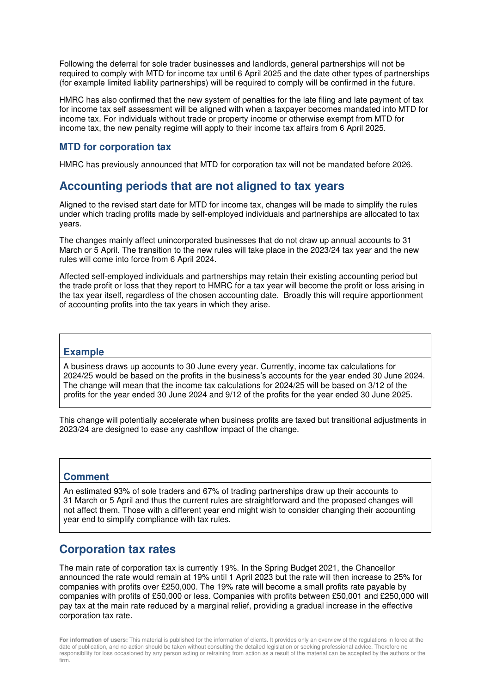Following the deferral for sole trader businesses and landlords, general partnerships will not be required to comply with MTD for income tax until 6 April 2025 and the date other types of partnerships (for example limited liability partnerships) will be required to comply will be confirmed in the future.

HMRC has also confirmed that the new system of penalties for the late filing and late payment of tax for income tax self assessment will be aligned with when a taxpayer becomes mandated into MTD for income tax. For individuals without trade or property income or otherwise exempt from MTD for income tax, the new penalty regime will apply to their income tax affairs from 6 April 2025.

#### **MTD for corporation tax**

HMRC has previously announced that MTD for corporation tax will not be mandated before 2026.

#### **Accounting periods that are not aligned to tax years**

Aligned to the revised start date for MTD for income tax, changes will be made to simplify the rules under which trading profits made by self-employed individuals and partnerships are allocated to tax years.

The changes mainly affect unincorporated businesses that do not draw up annual accounts to 31 March or 5 April. The transition to the new rules will take place in the 2023/24 tax year and the new rules will come into force from 6 April 2024.

Affected self-employed individuals and partnerships may retain their existing accounting period but the trade profit or loss that they report to HMRC for a tax year will become the profit or loss arising in the tax year itself, regardless of the chosen accounting date. Broadly this will require apportionment of accounting profits into the tax years in which they arise.

#### **Example**

A business draws up accounts to 30 June every year. Currently, income tax calculations for 2024/25 would be based on the profits in the business's accounts for the year ended 30 June 2024. The change will mean that the income tax calculations for 2024/25 will be based on 3/12 of the profits for the year ended 30 June 2024 and 9/12 of the profits for the year ended 30 June 2025.

This change will potentially accelerate when business profits are taxed but transitional adjustments in 2023/24 are designed to ease any cashflow impact of the change.

#### **Comment**

An estimated 93% of sole traders and 67% of trading partnerships draw up their accounts to 31 March or 5 April and thus the current rules are straightforward and the proposed changes will not affect them. Those with a different year end might wish to consider changing their accounting year end to simplify compliance with tax rules.

### **Corporation tax rates**

The main rate of corporation tax is currently 19%. In the Spring Budget 2021, the Chancellor announced the rate would remain at 19% until 1 April 2023 but the rate will then increase to 25% for companies with profits over £250,000. The 19% rate will become a small profits rate payable by companies with profits of £50,000 or less. Companies with profits between £50,001 and £250,000 will pay tax at the main rate reduced by a marginal relief, providing a gradual increase in the effective corporation tax rate.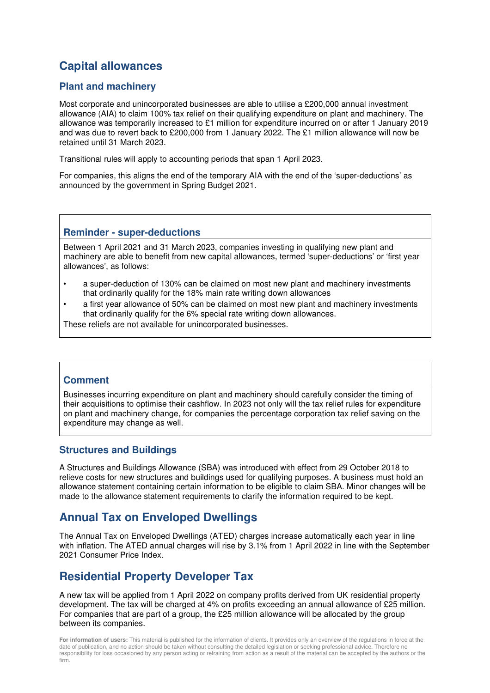### **Capital allowances**

#### **Plant and machinery**

Most corporate and unincorporated businesses are able to utilise a £200,000 annual investment allowance (AIA) to claim 100% tax relief on their qualifying expenditure on plant and machinery. The allowance was temporarily increased to £1 million for expenditure incurred on or after 1 January 2019 and was due to revert back to £200,000 from 1 January 2022. The £1 million allowance will now be retained until 31 March 2023.

Transitional rules will apply to accounting periods that span 1 April 2023.

For companies, this aligns the end of the temporary AIA with the end of the 'super-deductions' as announced by the government in Spring Budget 2021.

#### **Reminder - super-deductions**

Between 1 April 2021 and 31 March 2023, companies investing in qualifying new plant and machinery are able to benefit from new capital allowances, termed 'super-deductions' or 'first year allowances', as follows:

- a super-deduction of 130% can be claimed on most new plant and machinery investments that ordinarily qualify for the 18% main rate writing down allowances
- a first year allowance of 50% can be claimed on most new plant and machinery investments that ordinarily qualify for the 6% special rate writing down allowances.

These reliefs are not available for unincorporated businesses.

#### **Comment**

Businesses incurring expenditure on plant and machinery should carefully consider the timing of their acquisitions to optimise their cashflow. In 2023 not only will the tax relief rules for expenditure on plant and machinery change, for companies the percentage corporation tax relief saving on the expenditure may change as well.

#### **Structures and Buildings**

A Structures and Buildings Allowance (SBA) was introduced with effect from 29 October 2018 to relieve costs for new structures and buildings used for qualifying purposes. A business must hold an allowance statement containing certain information to be eligible to claim SBA. Minor changes will be made to the allowance statement requirements to clarify the information required to be kept.

### **Annual Tax on Enveloped Dwellings**

The Annual Tax on Enveloped Dwellings (ATED) charges increase automatically each year in line with inflation. The ATED annual charges will rise by 3.1% from 1 April 2022 in line with the September 2021 Consumer Price Index.

### **Residential Property Developer Tax**

A new tax will be applied from 1 April 2022 on company profits derived from UK residential property development. The tax will be charged at 4% on profits exceeding an annual allowance of £25 million. For companies that are part of a group, the £25 million allowance will be allocated by the group between its companies.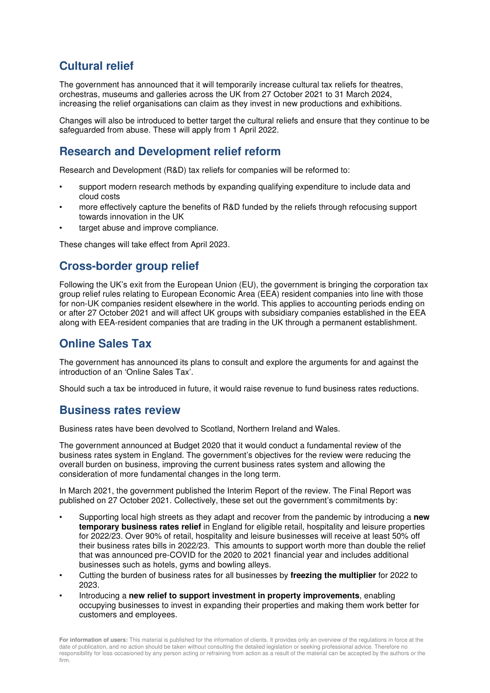### **Cultural relief**

The government has announced that it will temporarily increase cultural tax reliefs for theatres, orchestras, museums and galleries across the UK from 27 October 2021 to 31 March 2024, increasing the relief organisations can claim as they invest in new productions and exhibitions.

Changes will also be introduced to better target the cultural reliefs and ensure that they continue to be safeguarded from abuse. These will apply from 1 April 2022.

### **Research and Development relief reform**

Research and Development (R&D) tax reliefs for companies will be reformed to:

- support modern research methods by expanding qualifying expenditure to include data and cloud costs
- more effectively capture the benefits of R&D funded by the reliefs through refocusing support towards innovation in the UK
- target abuse and improve compliance.

These changes will take effect from April 2023.

### **Cross-border group relief**

Following the UK's exit from the European Union (EU), the government is bringing the corporation tax group relief rules relating to European Economic Area (EEA) resident companies into line with those for non-UK companies resident elsewhere in the world. This applies to accounting periods ending on or after 27 October 2021 and will affect UK groups with subsidiary companies established in the EEA along with EEA-resident companies that are trading in the UK through a permanent establishment.

### **Online Sales Tax**

The government has announced its plans to consult and explore the arguments for and against the introduction of an 'Online Sales Tax'.

Should such a tax be introduced in future, it would raise revenue to fund business rates reductions.

### **Business rates review**

Business rates have been devolved to Scotland, Northern Ireland and Wales.

The government announced at Budget 2020 that it would conduct a fundamental review of the business rates system in England. The government's objectives for the review were reducing the overall burden on business, improving the current business rates system and allowing the consideration of more fundamental changes in the long term.

In March 2021, the government published the Interim Report of the review. The Final Report was published on 27 October 2021. Collectively, these set out the government's commitments by:

- Supporting local high streets as they adapt and recover from the pandemic by introducing a **new temporary business rates relief** in England for eligible retail, hospitality and leisure properties for 2022/23. Over 90% of retail, hospitality and leisure businesses will receive at least 50% off their business rates bills in 2022/23. This amounts to support worth more than double the relief that was announced pre-COVID for the 2020 to 2021 financial year and includes additional businesses such as hotels, gyms and bowling alleys.
- Cutting the burden of business rates for all businesses by **freezing the multiplier** for 2022 to 2023.
- Introducing a **new relief to support investment in property improvements**, enabling occupying businesses to invest in expanding their properties and making them work better for customers and employees.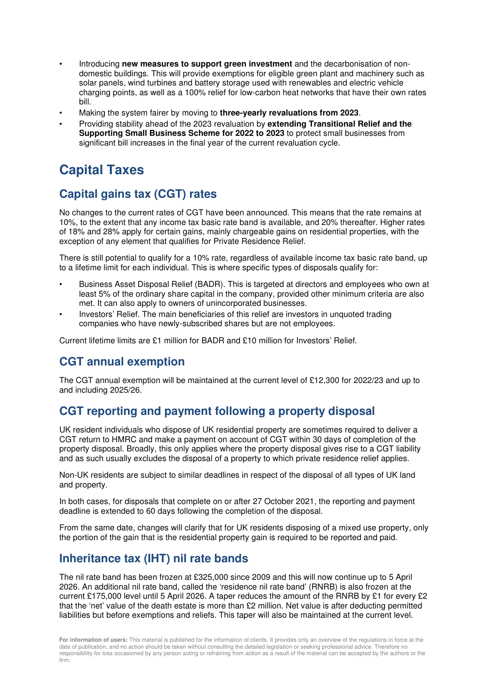- Introducing **new measures to support green investment** and the decarbonisation of nondomestic buildings. This will provide exemptions for eligible green plant and machinery such as solar panels, wind turbines and battery storage used with renewables and electric vehicle charging points, as well as a 100% relief for low-carbon heat networks that have their own rates bill.
- Making the system fairer by moving to **three-yearly revaluations from 2023**.
- Providing stability ahead of the 2023 revaluation by **extending Transitional Relief and the Supporting Small Business Scheme for 2022 to 2023** to protect small businesses from significant bill increases in the final year of the current revaluation cycle.

# **Capital Taxes**

### **Capital gains tax (CGT) rates**

No changes to the current rates of CGT have been announced. This means that the rate remains at 10%, to the extent that any income tax basic rate band is available, and 20% thereafter. Higher rates of 18% and 28% apply for certain gains, mainly chargeable gains on residential properties, with the exception of any element that qualifies for Private Residence Relief.

There is still potential to qualify for a 10% rate, regardless of available income tax basic rate band, up to a lifetime limit for each individual. This is where specific types of disposals qualify for:

- Business Asset Disposal Relief (BADR). This is targeted at directors and employees who own at least 5% of the ordinary share capital in the company, provided other minimum criteria are also met. It can also apply to owners of unincorporated businesses.
- Investors' Relief. The main beneficiaries of this relief are investors in unquoted trading companies who have newly-subscribed shares but are not employees.

Current lifetime limits are £1 million for BADR and £10 million for Investors' Relief.

### **CGT annual exemption**

The CGT annual exemption will be maintained at the current level of £12,300 for 2022/23 and up to and including 2025/26.

### **CGT reporting and payment following a property disposal**

UK resident individuals who dispose of UK residential property are sometimes required to deliver a CGT return to HMRC and make a payment on account of CGT within 30 days of completion of the property disposal. Broadly, this only applies where the property disposal gives rise to a CGT liability and as such usually excludes the disposal of a property to which private residence relief applies.

Non-UK residents are subject to similar deadlines in respect of the disposal of all types of UK land and property.

In both cases, for disposals that complete on or after 27 October 2021, the reporting and payment deadline is extended to 60 days following the completion of the disposal.

From the same date, changes will clarify that for UK residents disposing of a mixed use property, only the portion of the gain that is the residential property gain is required to be reported and paid.

### **Inheritance tax (IHT) nil rate bands**

The nil rate band has been frozen at £325,000 since 2009 and this will now continue up to 5 April 2026. An additional nil rate band, called the 'residence nil rate band' (RNRB) is also frozen at the current £175,000 level until 5 April 2026. A taper reduces the amount of the RNRB by £1 for every £2 that the 'net' value of the death estate is more than £2 million. Net value is after deducting permitted liabilities but before exemptions and reliefs. This taper will also be maintained at the current level.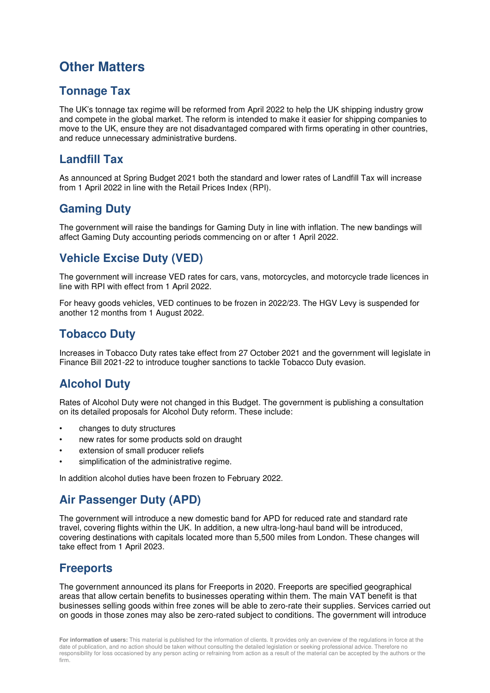# **Other Matters**

### **Tonnage Tax**

The UK's tonnage tax regime will be reformed from April 2022 to help the UK shipping industry grow and compete in the global market. The reform is intended to make it easier for shipping companies to move to the UK, ensure they are not disadvantaged compared with firms operating in other countries, and reduce unnecessary administrative burdens.

### **Landfill Tax**

As announced at Spring Budget 2021 both the standard and lower rates of Landfill Tax will increase from 1 April 2022 in line with the Retail Prices Index (RPI).

### **Gaming Duty**

The government will raise the bandings for Gaming Duty in line with inflation. The new bandings will affect Gaming Duty accounting periods commencing on or after 1 April 2022.

### **Vehicle Excise Duty (VED)**

The government will increase VED rates for cars, vans, motorcycles, and motorcycle trade licences in line with RPI with effect from 1 April 2022.

For heavy goods vehicles, VED continues to be frozen in 2022/23. The HGV Levy is suspended for another 12 months from 1 August 2022.

### **Tobacco Duty**

Increases in Tobacco Duty rates take effect from 27 October 2021 and the government will legislate in Finance Bill 2021-22 to introduce tougher sanctions to tackle Tobacco Duty evasion.

### **Alcohol Duty**

Rates of Alcohol Duty were not changed in this Budget. The government is publishing a consultation on its detailed proposals for Alcohol Duty reform. These include:

- changes to duty structures
- new rates for some products sold on draught
- extension of small producer reliefs
- simplification of the administrative regime.

In addition alcohol duties have been frozen to February 2022.

### **Air Passenger Duty (APD)**

The government will introduce a new domestic band for APD for reduced rate and standard rate travel, covering flights within the UK. In addition, a new ultra-long-haul band will be introduced, covering destinations with capitals located more than 5,500 miles from London. These changes will take effect from 1 April 2023.

### **Freeports**

The government announced its plans for Freeports in 2020. Freeports are specified geographical areas that allow certain benefits to businesses operating within them. The main VAT benefit is that businesses selling goods within free zones will be able to zero-rate their supplies. Services carried out on goods in those zones may also be zero-rated subject to conditions. The government will introduce